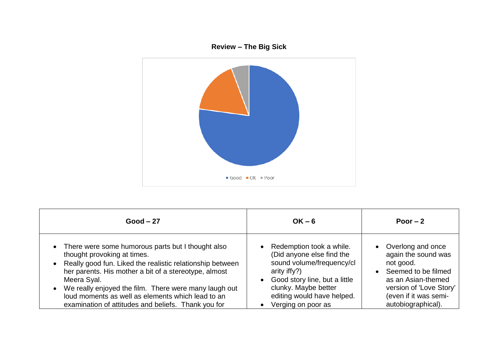

| $Good - 27$                                                                                                                                                                                                                                                                                                                                                                                  | $OK - 6$                                                                                                                                                                                                                          | Poor $-2$                                                                                                                                                                    |
|----------------------------------------------------------------------------------------------------------------------------------------------------------------------------------------------------------------------------------------------------------------------------------------------------------------------------------------------------------------------------------------------|-----------------------------------------------------------------------------------------------------------------------------------------------------------------------------------------------------------------------------------|------------------------------------------------------------------------------------------------------------------------------------------------------------------------------|
| • There were some humorous parts but I thought also<br>thought provoking at times.<br>Really good fun. Liked the realistic relationship between<br>her parents. His mother a bit of a stereotype, almost<br>Meera Syal.<br>We really enjoyed the film. There were many laugh out<br>loud moments as well as elements which lead to an<br>examination of attitudes and beliefs. Thank you for | Redemption took a while.<br>$\bullet$<br>(Did anyone else find the<br>sound volume/frequency/cl<br>arity if $(y?)$<br>• Good story line, but a little<br>clunky. Maybe better<br>editing would have helped.<br>Verging on poor as | Overlong and once<br>again the sound was<br>not good.<br>Seemed to be filmed<br>as an Asian-themed<br>version of 'Love Story'<br>(even if it was semi-<br>autobiographical). |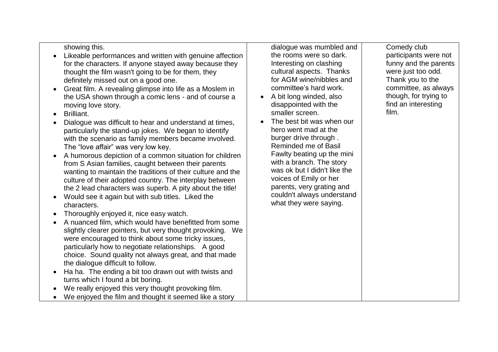## showing this.

- Likeable performances and written with genuine affection for the characters. If anyone stayed away because they thought the film wasn't going to be for them, they definitely missed out on a good one.
- Great film. A revealing glimpse into life as a Moslem in the USA shown through a comic lens - and of course a moving love story.
- Brilliant.
- Dialogue was difficult to hear and understand at times, particularly the stand-up jokes. We began to identify with the scenario as family members became involved. The "love affair" was very low key.
- A humorous depiction of a common situation for children from S Asian families, caught between their parents wanting to maintain the traditions of their culture and the culture of their adopted country. The interplay between the 2 lead characters was superb. A pity about the title!
- Would see it again but with sub titles. Liked the characters.
- Thoroughly enjoyed it, nice easy watch.
- A nuanced film, which would have benefitted from some slightly clearer pointers, but very thought provoking. We were encouraged to think about some tricky issues, particularly how to negotiate relationships. A good choice. Sound quality not always great, and that made the dialogue difficult to follow.
- Ha ha. The ending a bit too drawn out with twists and turns which I found a bit boring.
- We really enjoyed this very thought provoking film.
- We enjoyed the film and thought it seemed like a story

dialogue was mumbled and the rooms were so dark. Interesting on clashing cultural aspects. Thanks for AGM wine/nibbles and committee's hard work.

- A bit long winded, also disappointed with the smaller screen.
- The best bit was when our hero went mad at the burger drive through . Reminded me of Basil Fawlty beating up the mini with a branch. The story was ok but I didn't like the voices of Emily or her parents, very grating and couldn't always understand what they were saying.

Comedy club participants were not funny and the parents were just too odd. Thank you to the committee, as always though, for trying to find an interesting film.